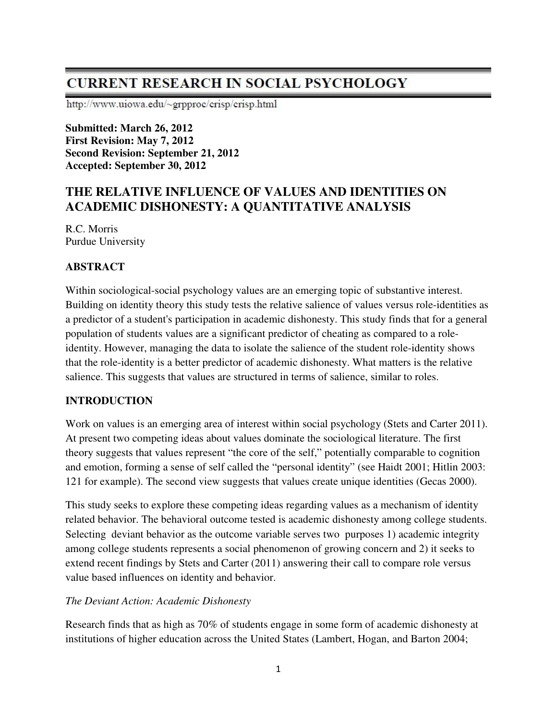# **CURRENT RESEARCH IN SOCIAL PSYCHOLOGY**

http://www.uiowa.edu/~grpproc/crisp/crisp.html

**Submitted: March 26, 2012 First Revision: May 7, 2012 Second Revision: September 21, 2012 Accepted: September 30, 2012** 

# **THE RELATIVE INFLUENCE OF VALUES AND IDENTITIES ON ACADEMIC DISHONESTY: A QUANTITATIVE ANALYSIS**

R.C. Morris Purdue University

# **ABSTRACT**

Within sociological-social psychology values are an emerging topic of substantive interest. Building on identity theory this study tests the relative salience of values versus role-identities as a predictor of a student's participation in academic dishonesty. This study finds that for a general population of students values are a significant predictor of cheating as compared to a roleidentity. However, managing the data to isolate the salience of the student role-identity shows that the role-identity is a better predictor of academic dishonesty. What matters is the relative salience. This suggests that values are structured in terms of salience, similar to roles.

## **INTRODUCTION**

Work on values is an emerging area of interest within social psychology (Stets and Carter 2011). At present two competing ideas about values dominate the sociological literature. The first theory suggests that values represent "the core of the self," potentially comparable to cognition and emotion, forming a sense of self called the "personal identity" (see Haidt 2001; Hitlin 2003: 121 for example). The second view suggests that values create unique identities (Gecas 2000).

This study seeks to explore these competing ideas regarding values as a mechanism of identity related behavior. The behavioral outcome tested is academic dishonesty among college students. Selecting deviant behavior as the outcome variable serves two purposes 1) academic integrity among college students represents a social phenomenon of growing concern and 2) it seeks to extend recent findings by Stets and Carter (2011) answering their call to compare role versus value based influences on identity and behavior.

## *The Deviant Action: Academic Dishonesty*

Research finds that as high as 70% of students engage in some form of academic dishonesty at institutions of higher education across the United States (Lambert, Hogan, and Barton 2004;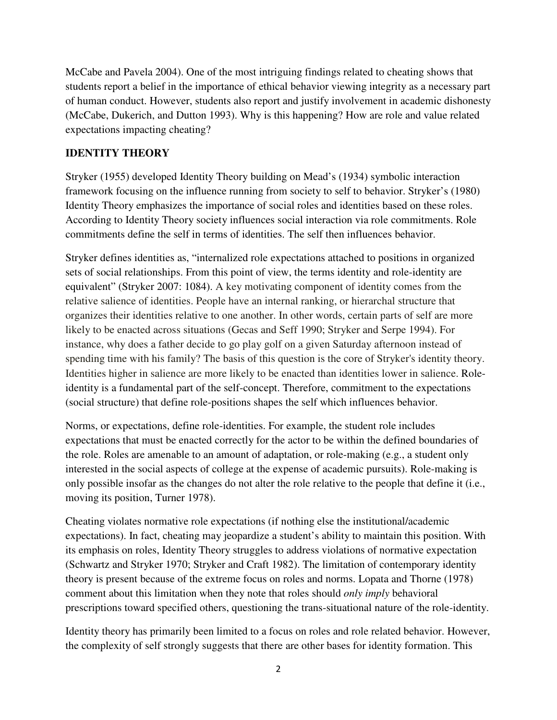McCabe and Pavela 2004). One of the most intriguing findings related to cheating shows that students report a belief in the importance of ethical behavior viewing integrity as a necessary part of human conduct. However, students also report and justify involvement in academic dishonesty (McCabe, Dukerich, and Dutton 1993). Why is this happening? How are role and value related expectations impacting cheating?

# **IDENTITY THEORY**

Stryker (1955) developed Identity Theory building on Mead's (1934) symbolic interaction framework focusing on the influence running from society to self to behavior. Stryker's (1980) Identity Theory emphasizes the importance of social roles and identities based on these roles. According to Identity Theory society influences social interaction via role commitments. Role commitments define the self in terms of identities. The self then influences behavior.

Stryker defines identities as, "internalized role expectations attached to positions in organized sets of social relationships. From this point of view, the terms identity and role-identity are equivalent" (Stryker 2007: 1084). A key motivating component of identity comes from the relative salience of identities. People have an internal ranking, or hierarchal structure that organizes their identities relative to one another. In other words, certain parts of self are more likely to be enacted across situations (Gecas and Seff 1990; Stryker and Serpe 1994). For instance, why does a father decide to go play golf on a given Saturday afternoon instead of spending time with his family? The basis of this question is the core of Stryker's identity theory. Identities higher in salience are more likely to be enacted than identities lower in salience. Roleidentity is a fundamental part of the self-concept. Therefore, commitment to the expectations (social structure) that define role-positions shapes the self which influences behavior.

Norms, or expectations, define role-identities. For example, the student role includes expectations that must be enacted correctly for the actor to be within the defined boundaries of the role. Roles are amenable to an amount of adaptation, or role-making (e.g., a student only interested in the social aspects of college at the expense of academic pursuits). Role-making is only possible insofar as the changes do not alter the role relative to the people that define it (i.e., moving its position, Turner 1978).

Cheating violates normative role expectations (if nothing else the institutional/academic expectations). In fact, cheating may jeopardize a student's ability to maintain this position. With its emphasis on roles, Identity Theory struggles to address violations of normative expectation (Schwartz and Stryker 1970; Stryker and Craft 1982). The limitation of contemporary identity theory is present because of the extreme focus on roles and norms. Lopata and Thorne (1978) comment about this limitation when they note that roles should *only imply* behavioral prescriptions toward specified others, questioning the trans-situational nature of the role-identity.

Identity theory has primarily been limited to a focus on roles and role related behavior. However, the complexity of self strongly suggests that there are other bases for identity formation. This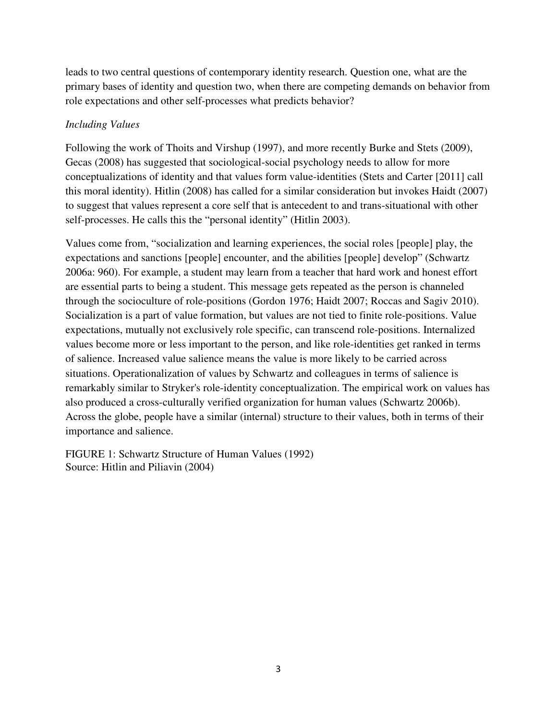leads to two central questions of contemporary identity research. Question one, what are the primary bases of identity and question two, when there are competing demands on behavior from role expectations and other self-processes what predicts behavior?

# *Including Values*

Following the work of Thoits and Virshup (1997), and more recently Burke and Stets (2009), Gecas (2008) has suggested that sociological-social psychology needs to allow for more conceptualizations of identity and that values form value-identities (Stets and Carter [2011] call this moral identity). Hitlin (2008) has called for a similar consideration but invokes Haidt (2007) to suggest that values represent a core self that is antecedent to and trans-situational with other self-processes. He calls this the "personal identity" (Hitlin 2003).

Values come from, "socialization and learning experiences, the social roles [people] play, the expectations and sanctions [people] encounter, and the abilities [people] develop" (Schwartz 2006a: 960). For example, a student may learn from a teacher that hard work and honest effort are essential parts to being a student. This message gets repeated as the person is channeled through the socioculture of role-positions (Gordon 1976; Haidt 2007; Roccas and Sagiv 2010). Socialization is a part of value formation, but values are not tied to finite role-positions. Value expectations, mutually not exclusively role specific, can transcend role-positions. Internalized values become more or less important to the person, and like role-identities get ranked in terms of salience. Increased value salience means the value is more likely to be carried across situations. Operationalization of values by Schwartz and colleagues in terms of salience is remarkably similar to Stryker's role-identity conceptualization. The empirical work on values has also produced a cross-culturally verified organization for human values (Schwartz 2006b). Across the globe, people have a similar (internal) structure to their values, both in terms of their importance and salience.

FIGURE 1: Schwartz Structure of Human Values (1992) Source: Hitlin and Piliavin (2004)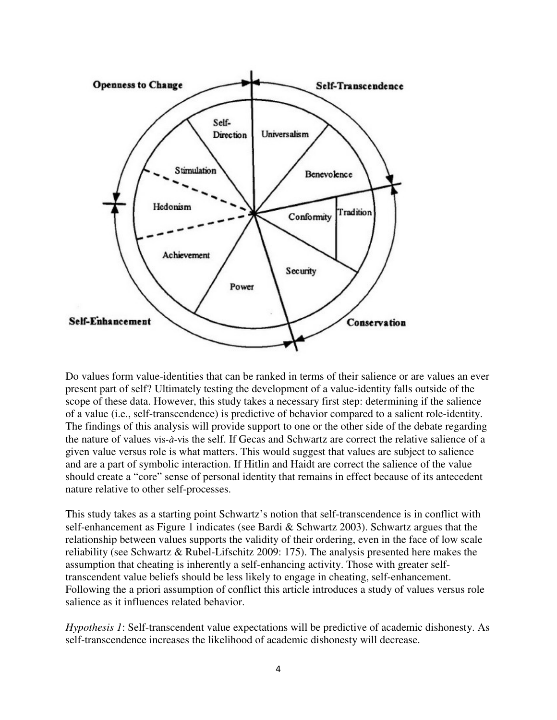

Do values form value-identities that can be ranked in terms of their salience or are values an ever present part of self? Ultimately testing the development of a value-identity falls outside of the scope of these data. However, this study takes a necessary first step: determining if the salience of a value (i.e., self-transcendence) is predictive of behavior compared to a salient role-identity. The findings of this analysis will provide support to one or the other side of the debate regarding the nature of values vis*-à-*vis the self. If Gecas and Schwartz are correct the relative salience of a given value versus role is what matters. This would suggest that values are subject to salience and are a part of symbolic interaction. If Hitlin and Haidt are correct the salience of the value should create a "core" sense of personal identity that remains in effect because of its antecedent nature relative to other self-processes.

This study takes as a starting point Schwartz's notion that self-transcendence is in conflict with self-enhancement as Figure 1 indicates (see Bardi & Schwartz 2003). Schwartz argues that the relationship between values supports the validity of their ordering, even in the face of low scale reliability (see Schwartz & Rubel-Lifschitz 2009: 175). The analysis presented here makes the assumption that cheating is inherently a self-enhancing activity. Those with greater selftranscendent value beliefs should be less likely to engage in cheating, self-enhancement. Following the a priori assumption of conflict this article introduces a study of values versus role salience as it influences related behavior.

*Hypothesis 1*: Self-transcendent value expectations will be predictive of academic dishonesty. As self-transcendence increases the likelihood of academic dishonesty will decrease.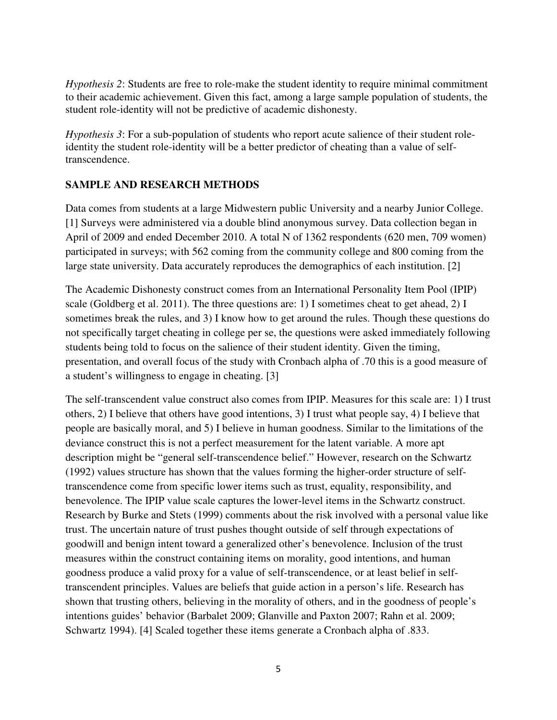*Hypothesis 2*: Students are free to role-make the student identity to require minimal commitment to their academic achievement. Given this fact, among a large sample population of students, the student role-identity will not be predictive of academic dishonesty.

*Hypothesis 3*: For a sub-population of students who report acute salience of their student roleidentity the student role-identity will be a better predictor of cheating than a value of selftranscendence.

### **SAMPLE AND RESEARCH METHODS**

Data comes from students at a large Midwestern public University and a nearby Junior College. [1] Surveys were administered via a double blind anonymous survey. Data collection began in April of 2009 and ended December 2010. A total N of 1362 respondents (620 men, 709 women) participated in surveys; with 562 coming from the community college and 800 coming from the large state university. Data accurately reproduces the demographics of each institution. [2]

The Academic Dishonesty construct comes from an International Personality Item Pool (IPIP) scale (Goldberg et al. 2011). The three questions are: 1) I sometimes cheat to get ahead, 2) I sometimes break the rules, and 3) I know how to get around the rules. Though these questions do not specifically target cheating in college per se, the questions were asked immediately following students being told to focus on the salience of their student identity. Given the timing, presentation, and overall focus of the study with Cronbach alpha of .70 this is a good measure of a student's willingness to engage in cheating. [3]

The self-transcendent value construct also comes from IPIP. Measures for this scale are: 1) I trust others, 2) I believe that others have good intentions, 3) I trust what people say, 4) I believe that people are basically moral, and 5) I believe in human goodness. Similar to the limitations of the deviance construct this is not a perfect measurement for the latent variable. A more apt description might be "general self-transcendence belief." However, research on the Schwartz (1992) values structure has shown that the values forming the higher-order structure of selftranscendence come from specific lower items such as trust, equality, responsibility, and benevolence. The IPIP value scale captures the lower-level items in the Schwartz construct. Research by Burke and Stets (1999) comments about the risk involved with a personal value like trust. The uncertain nature of trust pushes thought outside of self through expectations of goodwill and benign intent toward a generalized other's benevolence. Inclusion of the trust measures within the construct containing items on morality, good intentions, and human goodness produce a valid proxy for a value of self-transcendence, or at least belief in selftranscendent principles. Values are beliefs that guide action in a person's life. Research has shown that trusting others, believing in the morality of others, and in the goodness of people's intentions guides' behavior (Barbalet 2009; Glanville and Paxton 2007; Rahn et al. 2009; Schwartz 1994). [4] Scaled together these items generate a Cronbach alpha of .833.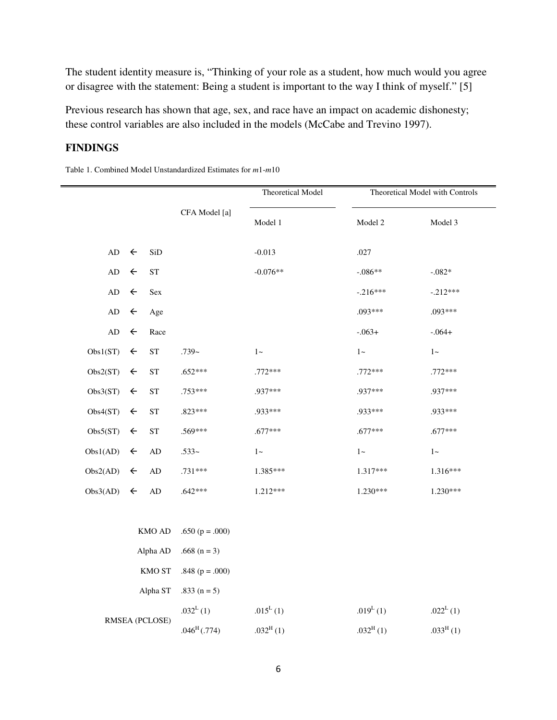The student identity measure is, "Thinking of your role as a student, how much would you agree or disagree with the statement: Being a student is important to the way I think of myself." [5]

Previous research has shown that age, sex, and race have an impact on academic dishonesty; these control variables are also included in the models (McCabe and Trevino 1997).

### **FINDINGS**

Table 1. Combined Model Unstandardized Estimates for *m*1-*m*10

|                 |                             |                     |                       | <b>Theoretical Model</b> | Theoretical Model with Controls |             |  |  |
|-----------------|-----------------------------|---------------------|-----------------------|--------------------------|---------------------------------|-------------|--|--|
|                 |                             |                     | CFA Model [a]         | Model 1                  | Model 2                         | Model 3     |  |  |
| $\mbox{\rm AD}$ | $\leftarrow$                | SiD                 |                       | $-0.013$                 | .027                            |             |  |  |
| $\mbox{\rm AD}$ | $\leftarrow$                | ${\rm ST}$          |                       | $-0.076**$               | $-.086**$                       | $-.082*$    |  |  |
| $\mbox{\rm AD}$ | $\leftarrow$                | Sex                 |                       |                          | $-.216***$                      | $-.212***$  |  |  |
| $\mbox{\rm AD}$ | $\leftarrow$                | Age                 |                       |                          | .093***                         | .093***     |  |  |
| $\mbox{\rm AD}$ | $\leftarrow$                | Race                |                       |                          | $-.063+$                        | $-.064+$    |  |  |
| Obs1(ST)        | $\leftarrow$                | <b>ST</b>           | $.739-$               | $1\!\sim\!$              | $1-$                            | $1\!\sim\!$ |  |  |
| Obs2(ST)        | $\leftarrow$                | ${\cal S}{\cal T}$  | $.652***$             | .772***                  | .772***                         | .772***     |  |  |
| Obs3(ST)        | $\leftarrow$                | ${\cal S}{\cal T}$  | $.753***$             | .937***                  | .937***                         | .937***     |  |  |
| Obs4(ST)        | $\leftarrow$                | ${\cal S}{\cal T}$  | $.823***$             | .933***                  | .933***                         | .933***     |  |  |
| Obs5(ST)        | $\leftarrow$                | $\operatorname{ST}$ | .569***               | $.677***$                | $.677***$                       | $.677***$   |  |  |
| Obs1(AD)        | $\leftarrow$                | $\mbox{AD}$         | $.533-$               | $1 -$                    | $1 -$                           | $1 -$       |  |  |
| Obs2(AD)        | $\leftarrow$                | $\mbox{AD}$         | $.731***$             | 1.385***                 | $1.317***$                      | 1.316***    |  |  |
| Obs3(AD)        | $\leftarrow$<br>$\mbox{AD}$ |                     | $.642***$             | 1.212***                 | $1.230***$                      | $1.230***$  |  |  |
|                 |                             |                     |                       |                          |                                 |             |  |  |
|                 | KMO AD                      |                     | .650 ( $p = .000$ )   |                          |                                 |             |  |  |
| Alpha AD        |                             | .668 $(n = 3)$      |                       |                          |                                 |             |  |  |
| KMO ST          |                             | .848 ( $p = .000$ ) |                       |                          |                                 |             |  |  |
| Alpha ST        |                             | .833 $(n = 5)$      |                       |                          |                                 |             |  |  |
| RMSEA (PCLOSE)  |                             |                     | .032 <sup>L</sup> (1) | .015 <sup>L</sup> (1)    | .019 $^{L}(1)$                  | $.022^L(1)$ |  |  |
|                 |                             |                     | $.046^{\rm H}$ (.774) | $.032^{H}(1)$            | $.032^{\rm H}(1)$               | $.033H$ (1) |  |  |
|                 |                             |                     |                       |                          |                                 |             |  |  |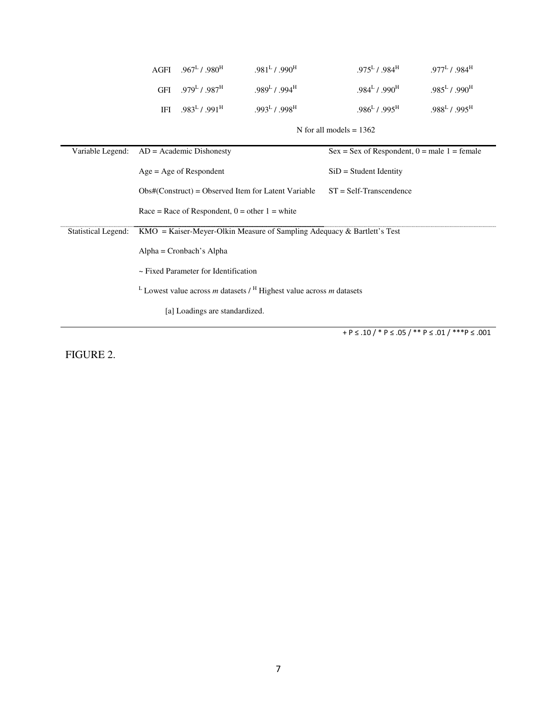|                            | AGFI                                                                                                       | $.967^L$ / $.980^H$ | $.981^L$ / $.990^H$                                   | $.975^L$ / $.984^H$                            | $.977^L$ / $.984^H$ |  |  |  |  |  |  |
|----------------------------|------------------------------------------------------------------------------------------------------------|---------------------|-------------------------------------------------------|------------------------------------------------|---------------------|--|--|--|--|--|--|
|                            | GFI                                                                                                        | $.979^L$ / $.987^H$ | $.989^L$ / $.994^H$                                   | $.984^L$ / $.990^H$                            | $.985^L / .990^H$   |  |  |  |  |  |  |
|                            | IFI                                                                                                        | $.983^L$ / $.991^H$ | $.993^L$ / $.998^H$                                   | $.986^L$ / $.995^H$                            | $.988^L$ / $.995^H$ |  |  |  |  |  |  |
|                            | N for all models $= 1362$                                                                                  |                     |                                                       |                                                |                     |  |  |  |  |  |  |
| Variable Legend:           | $AD = Academic Dishonesty$                                                                                 |                     |                                                       | $Sex = Sex of Respondent, 0 = male 1 = female$ |                     |  |  |  |  |  |  |
|                            | $Age = Age$ of Respondent                                                                                  |                     |                                                       | $SiD = Student Identity$                       |                     |  |  |  |  |  |  |
|                            |                                                                                                            |                     | $Obs#(Construct) = Observed$ Item for Latent Variable | $ST = Self-Transcendence$                      |                     |  |  |  |  |  |  |
|                            | Race = Race of Respondent, $0 =$ other $1 =$ white                                                         |                     |                                                       |                                                |                     |  |  |  |  |  |  |
| <b>Statistical Legend:</b> | $KMO = Kaiser-Meyer-Olkin Measure of Sampling Adequacy & Bartlett's Test$                                  |                     |                                                       |                                                |                     |  |  |  |  |  |  |
|                            | $Alpha = Cronbach's Alpha$                                                                                 |                     |                                                       |                                                |                     |  |  |  |  |  |  |
|                            | ~ Fixed Parameter for Identification                                                                       |                     |                                                       |                                                |                     |  |  |  |  |  |  |
|                            | <sup>L</sup> Lowest value across <i>m</i> datasets $/$ <sup>H</sup> Highest value across <i>m</i> datasets |                     |                                                       |                                                |                     |  |  |  |  |  |  |
|                            | [a] Loadings are standardized.                                                                             |                     |                                                       |                                                |                     |  |  |  |  |  |  |

+ P  $\le$  .10 / \* P  $\le$  .05 / \*\* P  $\le$  .01 / \*\*\*P  $\le$  .001

FIGURE 2.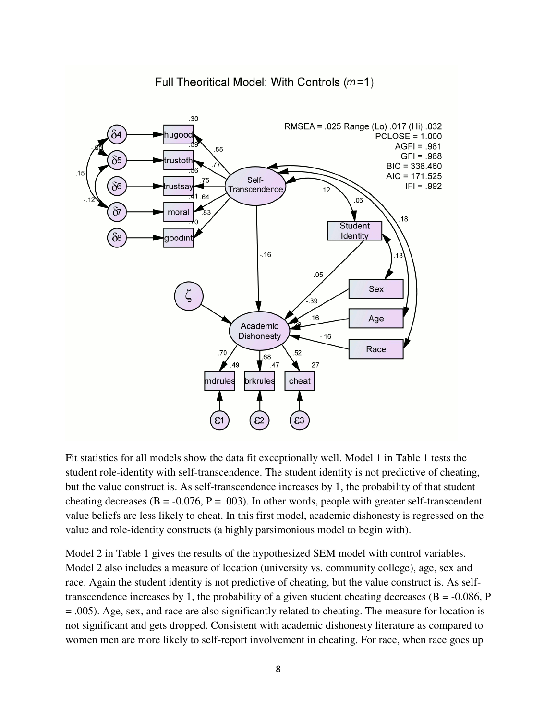#### Full Theoritical Model: With Controls  $(m=1)$



Fit statistics for all models show the data fit exceptionally well. Model 1 in Table 1 tests the student role-identity with self-transcendence. The student identity is not predictive of cheating, but the value construct is. As self-transcendence increases by 1, the probability of that student cheating decreases ( $B = -0.076$ ,  $P = .003$ ). In other words, people with greater self-transcendent value beliefs are less likely to cheat. In this first model, academic dishonesty is regressed on the value and role-identity constructs (a highly parsimonious model to begin with).

Model 2 in Table 1 gives the results of the hypothesized SEM model with control variables. Model 2 also includes a measure of location (university vs. community college), age, sex and race. Again the student identity is not predictive of cheating, but the value construct is. As selftranscendence increases by 1, the probability of a given student cheating decreases ( $B = -0.086$ , P = .005). Age, sex, and race are also significantly related to cheating. The measure for location is not significant and gets dropped. Consistent with academic dishonesty literature as compared to women men are more likely to self-report involvement in cheating. For race, when race goes up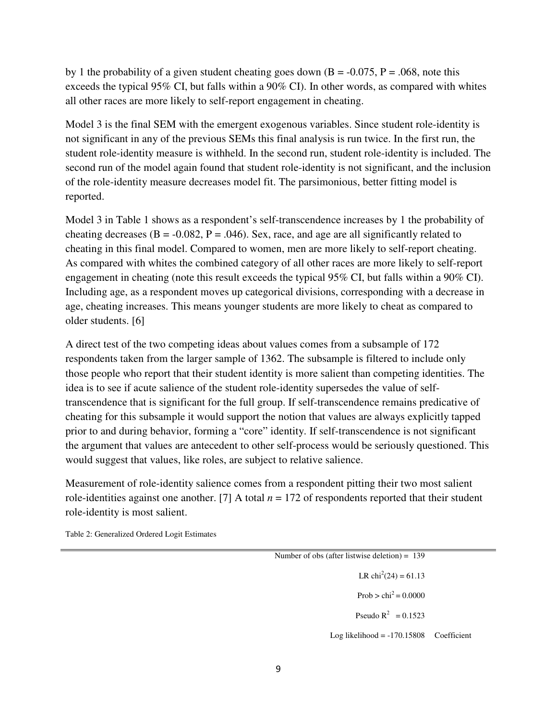by 1 the probability of a given student cheating goes down  $(B = -0.075, P = .068,$  note this exceeds the typical 95% CI, but falls within a 90% CI). In other words, as compared with whites all other races are more likely to self-report engagement in cheating.

Model 3 is the final SEM with the emergent exogenous variables. Since student role-identity is not significant in any of the previous SEMs this final analysis is run twice. In the first run, the student role-identity measure is withheld. In the second run, student role-identity is included. The second run of the model again found that student role-identity is not significant, and the inclusion of the role-identity measure decreases model fit. The parsimonious, better fitting model is reported.

Model 3 in Table 1 shows as a respondent's self-transcendence increases by 1 the probability of cheating decreases ( $B = -0.082$ ,  $P = .046$ ). Sex, race, and age are all significantly related to cheating in this final model. Compared to women, men are more likely to self-report cheating. As compared with whites the combined category of all other races are more likely to self-report engagement in cheating (note this result exceeds the typical 95% CI, but falls within a 90% CI). Including age, as a respondent moves up categorical divisions, corresponding with a decrease in age, cheating increases. This means younger students are more likely to cheat as compared to older students. [6]

A direct test of the two competing ideas about values comes from a subsample of 172 respondents taken from the larger sample of 1362. The subsample is filtered to include only those people who report that their student identity is more salient than competing identities. The idea is to see if acute salience of the student role-identity supersedes the value of selftranscendence that is significant for the full group. If self-transcendence remains predicative of cheating for this subsample it would support the notion that values are always explicitly tapped prior to and during behavior, forming a "core" identity. If self-transcendence is not significant the argument that values are antecedent to other self-process would be seriously questioned. This would suggest that values, like roles, are subject to relative salience.

Measurement of role-identity salience comes from a respondent pitting their two most salient role-identities against one another. [7] A total *n* = 172 of respondents reported that their student role-identity is most salient.

Table 2: Generalized Ordered Logit Estimates

| Number of obs (after listwise deletion) = $139$ |  |  |  |  |  |  |  |  |
|-------------------------------------------------|--|--|--|--|--|--|--|--|
| LR chi <sup>2</sup> $(24) = 61.13$              |  |  |  |  |  |  |  |  |
| Prob > $\text{chi}^2 = 0.0000$                  |  |  |  |  |  |  |  |  |
| Pseudo $R^2 = 0.1523$                           |  |  |  |  |  |  |  |  |
| $Log likelihood = -170.15808$ Coefficient       |  |  |  |  |  |  |  |  |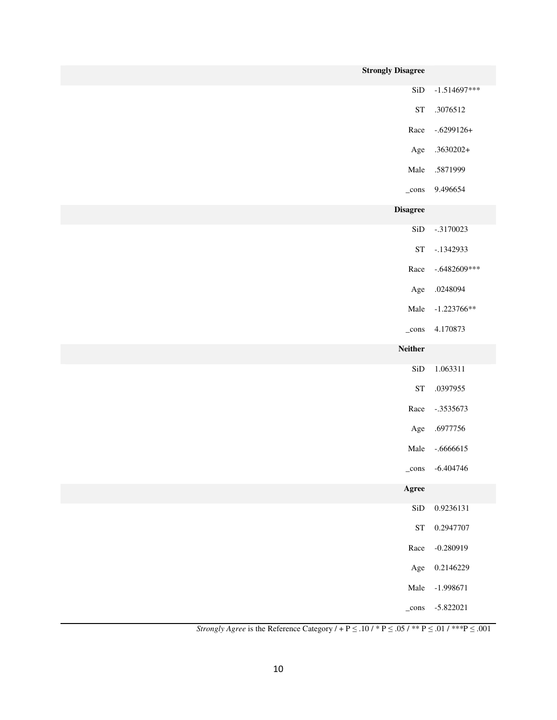| <b>Strongly Disagree</b> |                         |
|--------------------------|-------------------------|
| SiD                      | $-1.514697***$          |
| <b>ST</b>                | .3076512                |
| Race                     | $-.6299126+$            |
| Age                      | $.3630202+$             |
| Male                     | .5871999                |
| $_{\rm -cons}$           | 9.496654                |
| <b>Disagree</b>          |                         |
| SiD                      | $-.3170023$             |
| <b>ST</b>                | $-1342933$              |
| Race                     | $-.6482609***$          |
| Age                      | .0248094                |
| Male                     | $-1.223766**$           |
| $_{\rm cons}$            | 4.170873                |
| <b>Neither</b>           |                         |
| SiD                      | 1.063311                |
| <b>ST</b>                | .0397955                |
| Race                     | $-.3535673$             |
| Age                      | .6977756                |
| Male                     | $-.6666615$             |
|                          | $_{\rm cons}$ -6.404746 |
| Agree                    |                         |
| SiD                      | 0.9236131               |
| ${\cal S}{\cal T}$       | 0.2947707               |
| Race                     | $-0.280919$             |
| Age                      | 0.2146229               |
| Male                     | $-1.998671$             |
| $_{\rm -cons}$           | $-5.822021$             |

*Strongly Agree* is the Reference Category  $/ + P \le 0.10 / P \le 0.05 / P \le 0.01 / P \le 0.01$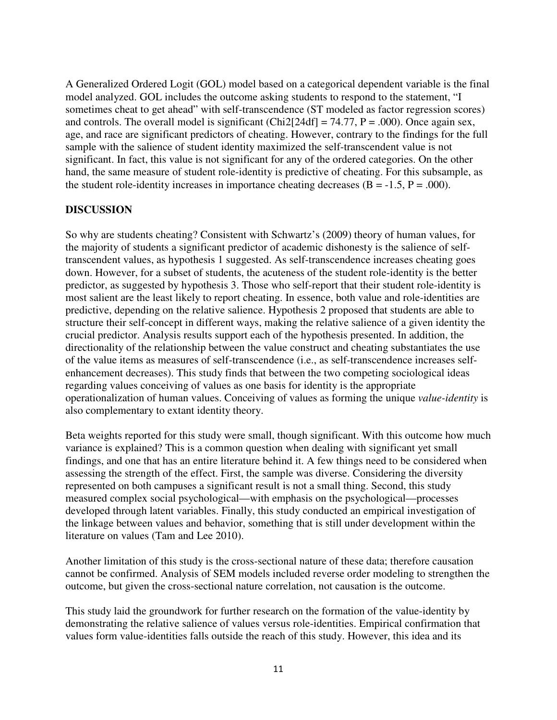A Generalized Ordered Logit (GOL) model based on a categorical dependent variable is the final model analyzed. GOL includes the outcome asking students to respond to the statement, "I sometimes cheat to get ahead" with self-transcendence (ST modeled as factor regression scores) and controls. The overall model is significant (Chi2[24df] = 74.77,  $P = .000$ ). Once again sex, age, and race are significant predictors of cheating. However, contrary to the findings for the full sample with the salience of student identity maximized the self-transcendent value is not significant. In fact, this value is not significant for any of the ordered categories. On the other hand, the same measure of student role-identity is predictive of cheating. For this subsample, as the student role-identity increases in importance cheating decreases  $(B = -1.5, P = .000)$ .

### **DISCUSSION**

So why are students cheating? Consistent with Schwartz's (2009) theory of human values, for the majority of students a significant predictor of academic dishonesty is the salience of selftranscendent values, as hypothesis 1 suggested. As self-transcendence increases cheating goes down. However, for a subset of students, the acuteness of the student role-identity is the better predictor, as suggested by hypothesis 3. Those who self-report that their student role-identity is most salient are the least likely to report cheating. In essence, both value and role-identities are predictive, depending on the relative salience. Hypothesis 2 proposed that students are able to structure their self-concept in different ways, making the relative salience of a given identity the crucial predictor. Analysis results support each of the hypothesis presented. In addition, the directionality of the relationship between the value construct and cheating substantiates the use of the value items as measures of self-transcendence (i.e., as self-transcendence increases selfenhancement decreases). This study finds that between the two competing sociological ideas regarding values conceiving of values as one basis for identity is the appropriate operationalization of human values. Conceiving of values as forming the unique *value-identity* is also complementary to extant identity theory.

Beta weights reported for this study were small, though significant. With this outcome how much variance is explained? This is a common question when dealing with significant yet small findings, and one that has an entire literature behind it. A few things need to be considered when assessing the strength of the effect. First, the sample was diverse. Considering the diversity represented on both campuses a significant result is not a small thing. Second, this study measured complex social psychological—with emphasis on the psychological—processes developed through latent variables. Finally, this study conducted an empirical investigation of the linkage between values and behavior, something that is still under development within the literature on values (Tam and Lee 2010).

Another limitation of this study is the cross-sectional nature of these data; therefore causation cannot be confirmed. Analysis of SEM models included reverse order modeling to strengthen the outcome, but given the cross-sectional nature correlation, not causation is the outcome.

This study laid the groundwork for further research on the formation of the value-identity by demonstrating the relative salience of values versus role-identities. Empirical confirmation that values form value-identities falls outside the reach of this study. However, this idea and its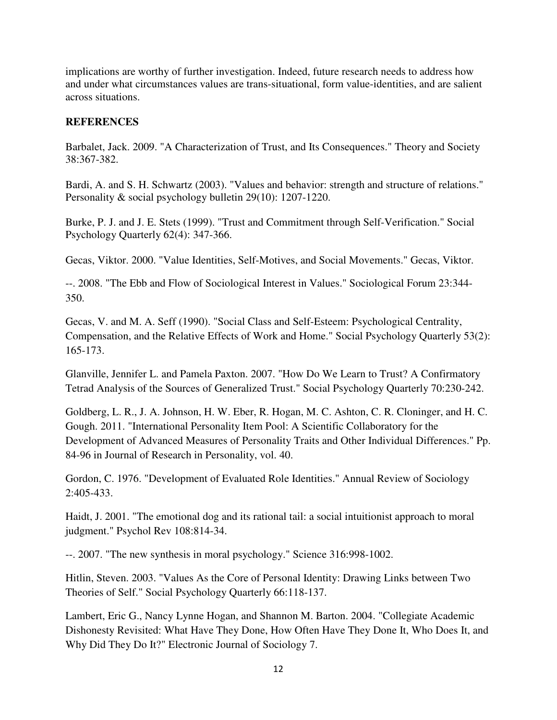implications are worthy of further investigation. Indeed, future research needs to address how and under what circumstances values are trans-situational, form value-identities, and are salient across situations.

### **REFERENCES**

Barbalet, Jack. 2009. "A Characterization of Trust, and Its Consequences." Theory and Society 38:367-382.

Bardi, A. and S. H. Schwartz (2003). "Values and behavior: strength and structure of relations." Personality & social psychology bulletin 29(10): 1207-1220.

Burke, P. J. and J. E. Stets (1999). "Trust and Commitment through Self-Verification." Social Psychology Quarterly 62(4): 347-366.

Gecas, Viktor. 2000. "Value Identities, Self-Motives, and Social Movements." Gecas, Viktor.

--. 2008. "The Ebb and Flow of Sociological Interest in Values." Sociological Forum 23:344- 350.

Gecas, V. and M. A. Seff (1990). "Social Class and Self-Esteem: Psychological Centrality, Compensation, and the Relative Effects of Work and Home." Social Psychology Quarterly 53(2): 165-173.

Glanville, Jennifer L. and Pamela Paxton. 2007. "How Do We Learn to Trust? A Confirmatory Tetrad Analysis of the Sources of Generalized Trust." Social Psychology Quarterly 70:230-242.

Goldberg, L. R., J. A. Johnson, H. W. Eber, R. Hogan, M. C. Ashton, C. R. Cloninger, and H. C. Gough. 2011. "International Personality Item Pool: A Scientific Collaboratory for the Development of Advanced Measures of Personality Traits and Other Individual Differences." Pp. 84-96 in Journal of Research in Personality, vol. 40.

Gordon, C. 1976. "Development of Evaluated Role Identities." Annual Review of Sociology 2:405-433.

Haidt, J. 2001. "The emotional dog and its rational tail: a social intuitionist approach to moral judgment." Psychol Rev 108:814-34.

--. 2007. "The new synthesis in moral psychology." Science 316:998-1002.

Hitlin, Steven. 2003. "Values As the Core of Personal Identity: Drawing Links between Two Theories of Self." Social Psychology Quarterly 66:118-137.

Lambert, Eric G., Nancy Lynne Hogan, and Shannon M. Barton. 2004. "Collegiate Academic Dishonesty Revisited: What Have They Done, How Often Have They Done It, Who Does It, and Why Did They Do It?" Electronic Journal of Sociology 7.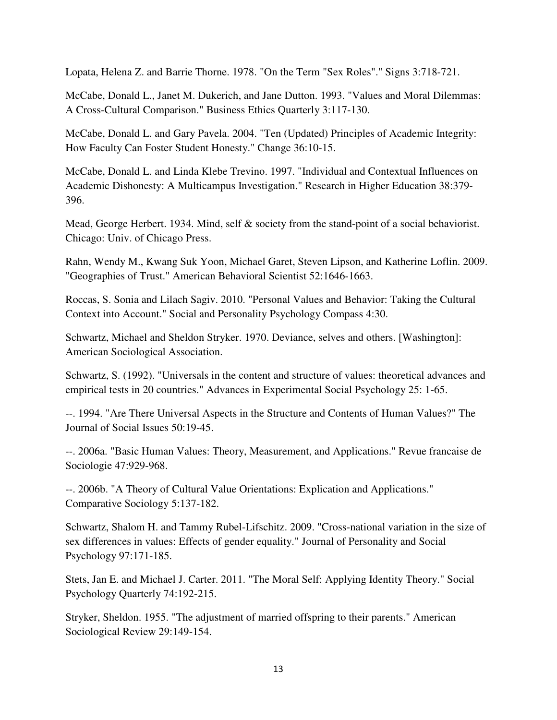Lopata, Helena Z. and Barrie Thorne. 1978. "On the Term "Sex Roles"." Signs 3:718-721.

McCabe, Donald L., Janet M. Dukerich, and Jane Dutton. 1993. "Values and Moral Dilemmas: A Cross-Cultural Comparison." Business Ethics Quarterly 3:117-130.

McCabe, Donald L. and Gary Pavela. 2004. "Ten (Updated) Principles of Academic Integrity: How Faculty Can Foster Student Honesty." Change 36:10-15.

McCabe, Donald L. and Linda Klebe Trevino. 1997. "Individual and Contextual Influences on Academic Dishonesty: A Multicampus Investigation." Research in Higher Education 38:379- 396.

Mead, George Herbert. 1934. Mind, self & society from the stand-point of a social behaviorist. Chicago: Univ. of Chicago Press.

Rahn, Wendy M., Kwang Suk Yoon, Michael Garet, Steven Lipson, and Katherine Loflin. 2009. "Geographies of Trust." American Behavioral Scientist 52:1646-1663.

Roccas, S. Sonia and Lilach Sagiv. 2010. "Personal Values and Behavior: Taking the Cultural Context into Account." Social and Personality Psychology Compass 4:30.

Schwartz, Michael and Sheldon Stryker. 1970. Deviance, selves and others. [Washington]: American Sociological Association.

Schwartz, S. (1992). "Universals in the content and structure of values: theoretical advances and empirical tests in 20 countries." Advances in Experimental Social Psychology 25: 1-65.

--. 1994. "Are There Universal Aspects in the Structure and Contents of Human Values?" The Journal of Social Issues 50:19-45.

--. 2006a. "Basic Human Values: Theory, Measurement, and Applications." Revue francaise de Sociologie 47:929-968.

--. 2006b. "A Theory of Cultural Value Orientations: Explication and Applications." Comparative Sociology 5:137-182.

Schwartz, Shalom H. and Tammy Rubel-Lifschitz. 2009. "Cross-national variation in the size of sex differences in values: Effects of gender equality." Journal of Personality and Social Psychology 97:171-185.

Stets, Jan E. and Michael J. Carter. 2011. "The Moral Self: Applying Identity Theory." Social Psychology Quarterly 74:192-215.

Stryker, Sheldon. 1955. "The adjustment of married offspring to their parents." American Sociological Review 29:149-154.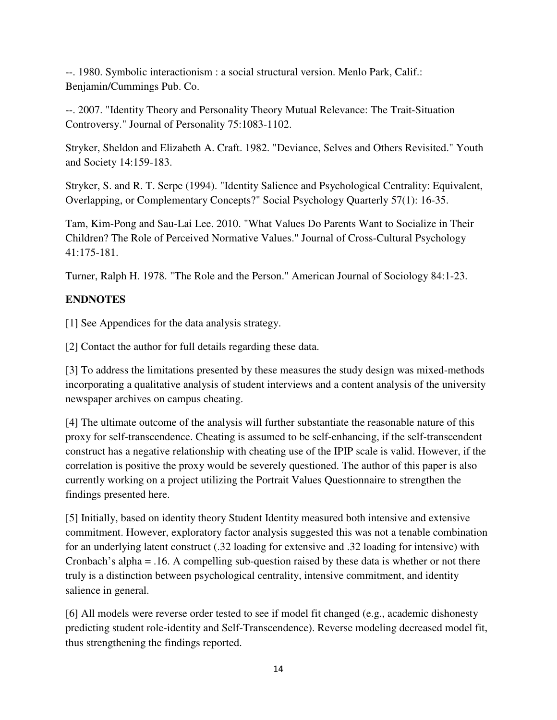--. 1980. Symbolic interactionism : a social structural version. Menlo Park, Calif.: Benjamin/Cummings Pub. Co.

--. 2007. "Identity Theory and Personality Theory Mutual Relevance: The Trait-Situation Controversy." Journal of Personality 75:1083-1102.

Stryker, Sheldon and Elizabeth A. Craft. 1982. "Deviance, Selves and Others Revisited." Youth and Society 14:159-183.

Stryker, S. and R. T. Serpe (1994). "Identity Salience and Psychological Centrality: Equivalent, Overlapping, or Complementary Concepts?" Social Psychology Quarterly 57(1): 16-35.

Tam, Kim-Pong and Sau-Lai Lee. 2010. "What Values Do Parents Want to Socialize in Their Children? The Role of Perceived Normative Values." Journal of Cross-Cultural Psychology 41:175-181.

Turner, Ralph H. 1978. "The Role and the Person." American Journal of Sociology 84:1-23.

# **ENDNOTES**

[1] See Appendices for the data analysis strategy.

[2] Contact the author for full details regarding these data.

[3] To address the limitations presented by these measures the study design was mixed-methods incorporating a qualitative analysis of student interviews and a content analysis of the university newspaper archives on campus cheating.

[4] The ultimate outcome of the analysis will further substantiate the reasonable nature of this proxy for self-transcendence. Cheating is assumed to be self-enhancing, if the self-transcendent construct has a negative relationship with cheating use of the IPIP scale is valid. However, if the correlation is positive the proxy would be severely questioned. The author of this paper is also currently working on a project utilizing the Portrait Values Questionnaire to strengthen the findings presented here.

[5] Initially, based on identity theory Student Identity measured both intensive and extensive commitment. However, exploratory factor analysis suggested this was not a tenable combination for an underlying latent construct (.32 loading for extensive and .32 loading for intensive) with Cronbach's alpha = .16. A compelling sub-question raised by these data is whether or not there truly is a distinction between psychological centrality, intensive commitment, and identity salience in general.

[6] All models were reverse order tested to see if model fit changed (e.g., academic dishonesty predicting student role-identity and Self-Transcendence). Reverse modeling decreased model fit, thus strengthening the findings reported.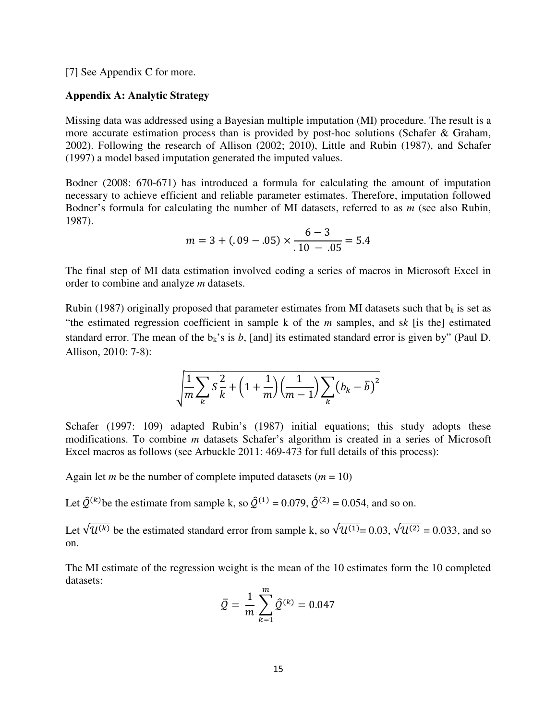[7] See Appendix C for more.

#### **Appendix A: Analytic Strategy**

Missing data was addressed using a Bayesian multiple imputation (MI) procedure. The result is a more accurate estimation process than is provided by post-hoc solutions (Schafer & Graham, 2002). Following the research of Allison (2002; 2010), Little and Rubin (1987), and Schafer (1997) a model based imputation generated the imputed values.

Bodner (2008: 670-671) has introduced a formula for calculating the amount of imputation necessary to achieve efficient and reliable parameter estimates. Therefore, imputation followed Bodner's formula for calculating the number of MI datasets, referred to as *m* (see also Rubin, 1987).

$$
m = 3 + (.09 - .05) \times \frac{6 - 3}{.10 - .05} = 5.4
$$

The final step of MI data estimation involved coding a series of macros in Microsoft Excel in order to combine and analyze *m* datasets.

Rubin (1987) originally proposed that parameter estimates from MI datasets such that  $b_k$  is set as "the estimated regression coefficient in sample k of the *m* samples, and s*k* [is the] estimated standard error. The mean of the  $b_k$ 's is *b*, [and] its estimated standard error is given by" (Paul D. Allison, 2010: 7-8):

$$
\sqrt{\frac{1}{m}\sum_{k} S\frac{2}{k} + \left(1 + \frac{1}{m}\right)\left(\frac{1}{m-1}\right)\sum_{k} \left(b_k - \overline{b}\right)^2}
$$

Schafer (1997: 109) adapted Rubin's (1987) initial equations; this study adopts these modifications. To combine *m* datasets Schafer's algorithm is created in a series of Microsoft Excel macros as follows (see Arbuckle 2011: 469-473 for full details of this process):

Again let *m* be the number of complete imputed datasets  $(m = 10)$ 

Let  $\hat{Q}^{(k)}$  be the estimate from sample k, so  $\hat{Q}^{(1)} = 0.079$ ,  $\hat{Q}^{(2)} = 0.054$ , and so on.

Let  $\sqrt{u^{(k)}}$  be the estimated standard error from sample k, so  $\sqrt{u^{(1)}} = 0.03$ ,  $\sqrt{u^{(2)}} = 0.033$ , and so on.

The MI estimate of the regression weight is the mean of the 10 estimates form the 10 completed datasets:

$$
\bar{Q} = \frac{1}{m} \sum_{k=1}^{m} \hat{Q}^{(k)} = 0.047
$$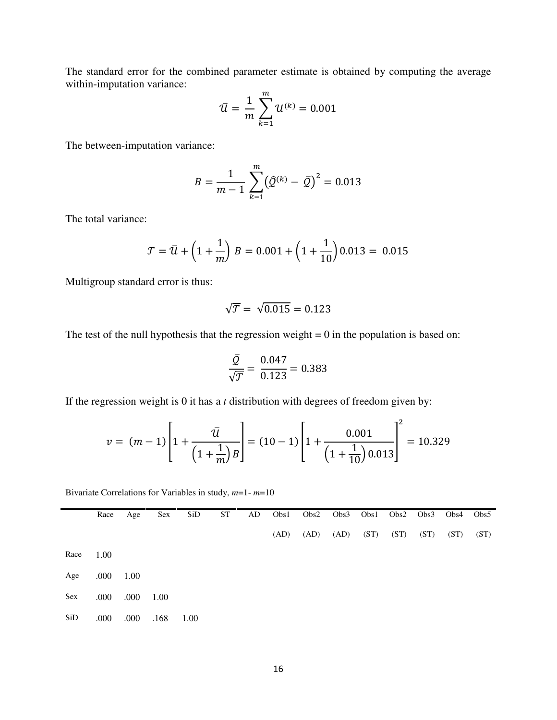The standard error for the combined parameter estimate is obtained by computing the average within-imputation variance:

$$
\bar{u} = \frac{1}{m} \sum_{k=1}^{m} u^{(k)} = 0.001
$$

The between-imputation variance:

$$
B = \frac{1}{m-1} \sum_{k=1}^{m} (\hat{Q}^{(k)} - \bar{Q})^2 = 0.013
$$

The total variance:

$$
\mathcal{T} = \bar{\mathcal{U}} + \left(1 + \frac{1}{m}\right)B = 0.001 + \left(1 + \frac{1}{10}\right)0.013 = 0.015
$$

Multigroup standard error is thus:

$$
\sqrt{\mathcal{T}} = \sqrt{0.015} = 0.123
$$

The test of the null hypothesis that the regression weight  $= 0$  in the population is based on:

$$
\frac{\overline{Q}}{\sqrt{\overline{J}}} = \frac{0.047}{0.123} = 0.383
$$

If the regression weight is 0 it has a *t* distribution with degrees of freedom given by:

$$
v = (m-1)\left[1 + \frac{\bar{u}}{\left(1 + \frac{1}{m}\right)B}\right] = (10-1)\left[1 + \frac{0.001}{\left(1 + \frac{1}{10}\right)0.013}\right]^2 = 10.329
$$

Bivariate Correlations for Variables in study, *m*=1- *m*=10

|            | Race | Age  | <b>Sex</b> | SiD  | <b>ST</b> | AD | Obs1 | Obs2 | Obs3 | Obs1 |      | $Obs2\quad Obs3$ | Obs4 | Obs5 |
|------------|------|------|------------|------|-----------|----|------|------|------|------|------|------------------|------|------|
|            |      |      |            |      |           |    | (AD) | (AD) | (AD) | (ST) | (ST) | (ST)             | (ST) | (ST) |
| Race       | 1.00 |      |            |      |           |    |      |      |      |      |      |                  |      |      |
| Age        | .000 | 1.00 |            |      |           |    |      |      |      |      |      |                  |      |      |
| <b>Sex</b> | .000 | .000 | 1.00       |      |           |    |      |      |      |      |      |                  |      |      |
| SiD        | .000 | .000 | .168       | 1.00 |           |    |      |      |      |      |      |                  |      |      |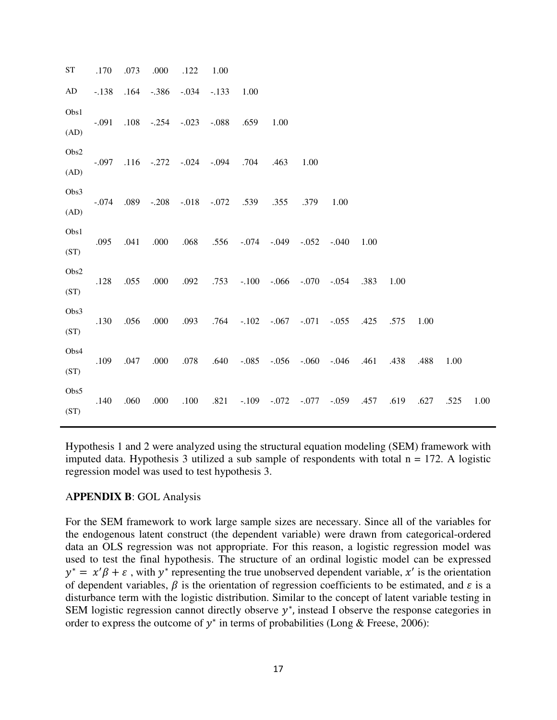ST .170 .073 .000 .122 1.00 AD -.138 .164 -.386 -.034 -.133 1.00 Obs1 (AD) -.091 .108 -.254 -.023 -.088 .659 1.00 Obs2 (AD) -.097 .116 -.272 -.024 -.094 .704 .463 1.00 Obs3 (AD) -.074 .089 -.208 -.018 -.072 .539 .355 .379 1.00 Obs1 (ST) .095 .041 .000 .068 .556 -.074 -.049 -.052 -.040 1.00 Obs2 (ST) .128 .055 .000 .092 .753 -.100 -.066 -.070 -.054 .383 1.00 Obs3 (ST) .130 .056 .000 .093 .764 -.102 -.067 -.071 -.055 .425 .575 1.00 Obs4 (ST) .109 .047 .000 .078 .640 -.085 -.056 -.060 -.046 .461 .438 .488 1.00 Obs5 (ST) .140 .060 .000 .100 .821 -.109 -.072 -.077 -.059 .457 .619 .627 .525 1.00

Hypothesis 1 and 2 were analyzed using the structural equation modeling (SEM) framework with imputed data. Hypothesis 3 utilized a sub sample of respondents with total  $n = 172$ . A logistic regression model was used to test hypothesis 3.

### A**PPENDIX B**: GOL Analysis

For the SEM framework to work large sample sizes are necessary. Since all of the variables for the endogenous latent construct (the dependent variable) were drawn from categorical-ordered data an OLS regression was not appropriate. For this reason, a logistic regression model was used to test the final hypothesis. The structure of an ordinal logistic model can be expressed  $y^* = x'\beta + \varepsilon$ , with  $y^*$  representing the true unobserved dependent variable, x' is the orientation of dependent variables,  $\beta$  is the orientation of regression coefficients to be estimated, and  $\varepsilon$  is a disturbance term with the logistic distribution. Similar to the concept of latent variable testing in SEM logistic regression cannot directly observe  $y^*$ , instead I observe the response categories in order to express the outcome of  $y^*$  in terms of probabilities (Long & Freese, 2006):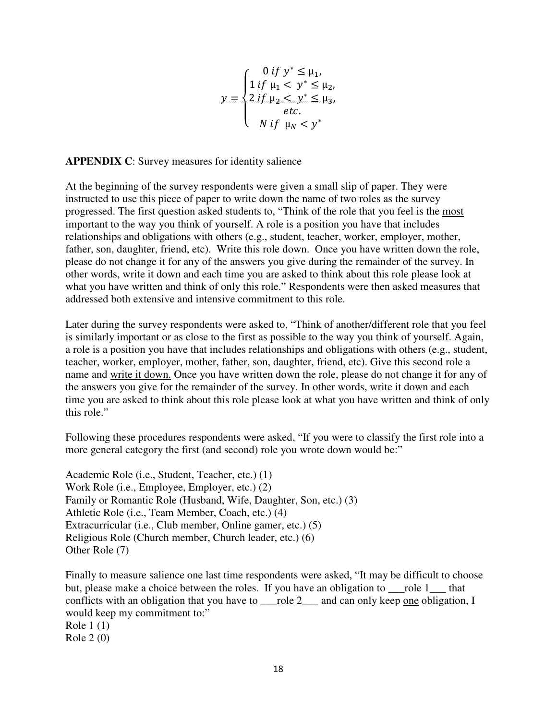$$
y = \begin{cases} 0 & \text{if } y^* \le \mu_1, \\ 1 & \text{if } \mu_1 < y^* \le \mu_2, \\ 2 & \text{if } \mu_2 < y^* \le \mu_3, \\ etc. \\ N & \text{if } \mu_N < y^* \end{cases}
$$

**APPENDIX C**: Survey measures for identity salience

At the beginning of the survey respondents were given a small slip of paper. They were instructed to use this piece of paper to write down the name of two roles as the survey progressed. The first question asked students to, "Think of the role that you feel is the most important to the way you think of yourself. A role is a position you have that includes relationships and obligations with others (e.g., student, teacher, worker, employer, mother, father, son, daughter, friend, etc). Write this role down. Once you have written down the role, please do not change it for any of the answers you give during the remainder of the survey. In other words, write it down and each time you are asked to think about this role please look at what you have written and think of only this role." Respondents were then asked measures that addressed both extensive and intensive commitment to this role.

Later during the survey respondents were asked to, "Think of another/different role that you feel is similarly important or as close to the first as possible to the way you think of yourself. Again, a role is a position you have that includes relationships and obligations with others (e.g., student, teacher, worker, employer, mother, father, son, daughter, friend, etc). Give this second role a name and write it down. Once you have written down the role, please do not change it for any of the answers you give for the remainder of the survey. In other words, write it down and each time you are asked to think about this role please look at what you have written and think of only this role."

Following these procedures respondents were asked, "If you were to classify the first role into a more general category the first (and second) role you wrote down would be:"

Academic Role (i.e., Student, Teacher, etc.) (1) Work Role (i.e., Employee, Employer, etc.) (2) Family or Romantic Role (Husband, Wife, Daughter, Son, etc.) (3) Athletic Role (i.e., Team Member, Coach, etc.) (4) Extracurricular (i.e., Club member, Online gamer, etc.) (5) Religious Role (Church member, Church leader, etc.) (6) Other Role (7)

Finally to measure salience one last time respondents were asked, "It may be difficult to choose but, please make a choice between the roles. If you have an obligation to role 1 that conflicts with an obligation that you have to role 2 and can only keep one obligation, I would keep my commitment to:" Role 1 (1) Role 2 (0)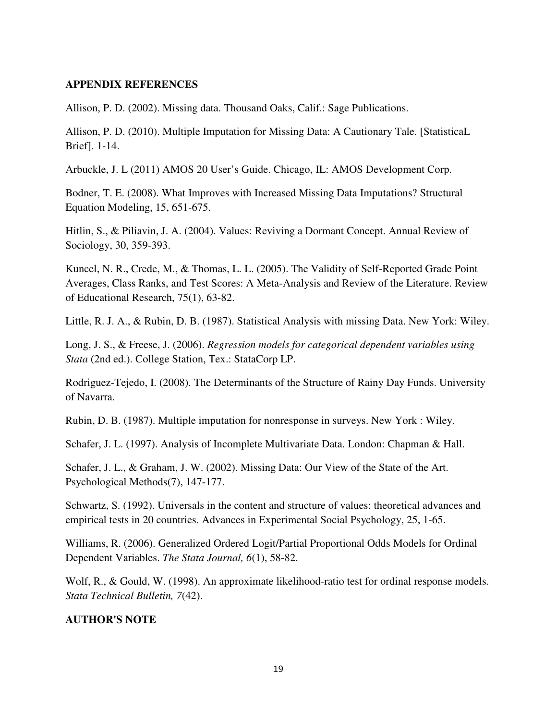### **APPENDIX REFERENCES**

Allison, P. D. (2002). Missing data. Thousand Oaks, Calif.: Sage Publications.

Allison, P. D. (2010). Multiple Imputation for Missing Data: A Cautionary Tale. [StatisticaL Brief]. 1-14.

Arbuckle, J. L (2011) AMOS 20 User's Guide. Chicago, IL: AMOS Development Corp.

Bodner, T. E. (2008). What Improves with Increased Missing Data Imputations? Structural Equation Modeling, 15, 651-675.

Hitlin, S., & Piliavin, J. A. (2004). Values: Reviving a Dormant Concept. Annual Review of Sociology, 30, 359-393.

Kuncel, N. R., Crede, M., & Thomas, L. L. (2005). The Validity of Self-Reported Grade Point Averages, Class Ranks, and Test Scores: A Meta-Analysis and Review of the Literature. Review of Educational Research, 75(1), 63-82.

Little, R. J. A., & Rubin, D. B. (1987). Statistical Analysis with missing Data. New York: Wiley.

Long, J. S., & Freese, J. (2006). *Regression models for categorical dependent variables using Stata* (2nd ed.). College Station, Tex.: StataCorp LP.

Rodriguez-Tejedo, I. (2008). The Determinants of the Structure of Rainy Day Funds. University of Navarra.

Rubin, D. B. (1987). Multiple imputation for nonresponse in surveys. New York : Wiley.

Schafer, J. L. (1997). Analysis of Incomplete Multivariate Data. London: Chapman & Hall.

Schafer, J. L., & Graham, J. W. (2002). Missing Data: Our View of the State of the Art. Psychological Methods(7), 147-177.

Schwartz, S. (1992). Universals in the content and structure of values: theoretical advances and empirical tests in 20 countries. Advances in Experimental Social Psychology, 25, 1-65.

Williams, R. (2006). Generalized Ordered Logit/Partial Proportional Odds Models for Ordinal Dependent Variables. *The Stata Journal, 6*(1), 58-82.

Wolf, R., & Gould, W. (1998). An approximate likelihood-ratio test for ordinal response models. *Stata Technical Bulletin, 7*(42).

### **AUTHOR'S NOTE**